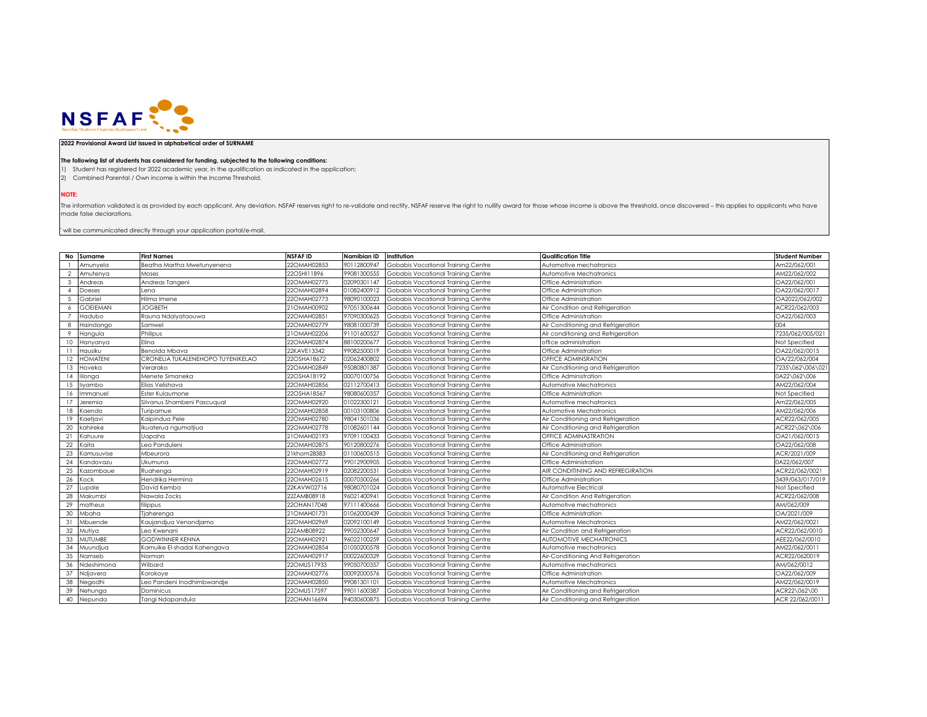

## **2022 Provisional Award List issued in alphabetical order of SURNAME**

## **The following list of students has considered for funding, subjected to the following conditions:**

1) Student has registered for 2022 academic year, in the qualification as indicated in the application;

2) Combined Parental / Own income is within the Income Threshold.

**NOTE:**

The information validated is as provided by each applicant. Any deviation, NSFAF reserves right to re-validate and rectify. NSFAF reserve the right to nullify award for those whose income is above the threshold, once disco made false declarations.

 $^{\circ}$  will be communicated directly through your application portal/e-mail.

|                | No Surname      | <b>First Names</b>                | <b>NSFAFID</b> | Namibian ID | Institution                        | <b>Qualification Title</b>         | <b>Student Number</b> |
|----------------|-----------------|-----------------------------------|----------------|-------------|------------------------------------|------------------------------------|-----------------------|
|                | Amunyela        | Beatha Martha Mwetunyenena        | 22OMAH02853    | 90112800947 | Gobabis Vocational Training Centre | Automotive mechatronics            | Am22/062/001          |
| $\overline{2}$ | Amutenya        | Moses                             | 22OSHI11896    | 99081300555 | Gobabis Vocational Training Centre | Automotive Mechatronics            | AM22/062/002          |
| -3             | Andreas         | Andreas Tangeni                   | 22OMAH02775    | 02090301147 | Gobabis Vocational Trainina Centre | Office Administration              | OA22/062/001          |
| $\mathbf{A}$   | Doeses          | Lena                              | 22OMAH02894    | 01082400912 | Gobabis Vocational Training Centre | Office Administration              | OA22/062/0017         |
| .5             | Gabriel         | Hilma Imene                       | 22OMAH02773    | 98090100023 | Gobabis Vocational Training Centre | Office Administration              | OA2022/062/002        |
| 6              | <b>GOEIEMAN</b> | <b>JOGBETH</b>                    | 21OMAH00902    | 97051300644 | Gobabis Vocational Training Centre | Air Condition and Refrigeration    | ACR22/062/003         |
|                | Hadubo          | Rauna Ndalyataouwa                | 22OMAH0285     | 97090300625 | Gobabis Vocational Training Centre | Office Administration              | OA22/062/003          |
| 8              | Haindongo       | Samwel                            | 22OMAH02779    | 98081000739 | Gobabis Vocational Training Centre | Air Conditioning and Refrigeration | 004                   |
| -9             | Hangula         | Philipus                          | 21OMAH02206    | 91101600527 | Gobabis Vocational Training Centre | Air conditioning and Refrigeration | 7235/062/005/021      |
| 10             | Hanyanya        | Elina                             | 22OMAH02874    | 88100200677 | Gobabis Vocational Training Centre | office administration              | Not Specified         |
| 11             | Hausiku         | Benolda Mbava                     | 22KAVE13342    | 99082500019 | Gobabis Vocational Training Centre | Office Administration              | OA22/062/0015         |
| 12             | <b>HOMATENI</b> | CRONELIA TUKALENEHOPO TUYENIKELAO | 22OSHA18672    | 02062400802 | Gobabis Vocational Training Centre | OFFICE ADMINSRATION                | OA/22/062/004         |
| 13             | Hoveka          | Verarako                          | 22OMAH02849    | 95080801387 | Gobabis Vocational Training Centre | Air Conditioning and Refrigeration | 7235\062\006\02       |
| 14             | lilonga         | Menete Simaneka                   | 22OSHA18192    | 00070100756 | Gobabis Vocational Training Centre | Office Administration              | 0A22\062\006          |
| 15             | liyambo         | Elias Velishava                   | 22OMAH02856    | 02112700413 | Gobabis Vocational Training Centre | Automative Mechatronics            | AM22/062/004          |
| 16             | Immanuel        | Ester Kulaumone                   | 22OSHA18567    | 98080600357 | Gobabis Vocational Training Centre | Office Administration              | Not Specified         |
| 17             | Jeremia         | Silvanus Shambeni Pascuaual       | 22OMAH02920    | 01022300121 | Gobabis Vocational Training Centre | Automotive mechatronics            | Am22/062/005          |
| 18             | Kaendo          | Turipamue                         | 22OMAH02858    | 00103100806 | Gobabis Vocational Training Centre | Automotive Mechatronics            | AM22/062/006          |
| 19             | Kaetjavi        | Kaipindua Pele                    | 22OMAH02780    | 98041501036 | Gobabis Vocational Training Centre | Air Conditioning and Refrigeration | ACR22/062/005         |
| 20             | kahireke        | Ikuaterua ngumatjiua              | 22OMAH02778    | 01082601144 | Gobabis Vocational Trainina Centre | Air Conditioning and Refrigeration | ACR22\062\006         |
| 21             | Kahuure         | Uapaha                            | 21OMAH02193    | 97091100433 | Gobabis Vocational Training Centre | OFFICE ADMINASTRATION              | OA21/062/0015         |
| 22             | Kaita           | Lea Panduleni                     | 22OMAH02875    | 90120800276 | Gobabis Vocational Training Centre | Office Administration              | OA22/062/008          |
| 23             | Kamusuvise      | Mbeurora                          | 21khom28383    | 01100600515 | Gobabis Vocational Training Centre | Air Conditioning and Refrigeration | ACR/2021/009          |
| 24             | Kandovazu       | Ukumuna                           | 22OMAH02772    | 99012900905 | Gobabis Vocational Training Centre | Office Adiministration             | 0A22/062/007          |
| 25             | Kazombaue       | Ruahenga                          | 22OMAH02919    | 02082200531 | Gobabis Vocational Training Centre | AIR CONDITINING AND REFREGIRATION  | ACR22/062/0021        |
| 26             | Kock            | Hendrika Hermina                  | 22OMAH02615    | 00070500266 | Gobabis Vocational Training Centre | Office Administration              | 3439/063/017/019      |
| 27             | Lupale          | David Kemba                       | 22KAVW02716    | 98080701024 | Gobabis Vocational Training Centre | Automotive Electrical              | Not Specified         |
| 28             | Makumbi         | Nawala Zocks                      | 22ZAMB08918    | 96021400941 | Gobabis Vocational Training Centre | Air Condition And Refrigeration    | ACR22/062/008         |
| 29             | matheus         | filippus                          | 22OHAN17048    | 97111400666 | Gobabis Vocational Training Centre | Automotive mechatronics            | AM/062/009            |
| 30             | Mbaha           | Tjaherenga                        | 21OMAH01731    | 01062000439 | Gobabis Vocational Training Centre | Office Administration              | OA/2021/009           |
| 31             | Mbuende         | Kaujandjua Venondjamo             | 22OMAH02969    | 02092100149 | Gobabis Vocational Training Centre | Automotive Mechatronics            | AM22/062/0021         |
| 32             | Mutiya          | Leo Kwenani                       | 22ZAMB08922    | 99052300647 | Gobabis Vocational Training Centre | Air Condition and Refrigeration    | ACR22/062/0010        |
| 33             | <b>MUTUMBE</b>  | <b>GODWINNER KENNA</b>            | 22OMAH0292     | 96022100259 | Gobabis Vocational Training Centre | AUTOMOTIVE MECHATRONICS            | AEE22/062/0010        |
| 34             | Muundjua        | Kamuike El-shadai Kahengava       | 22OMAH02854    | 01050200578 | Gobabis Vocational Training Centre | Automotive mechatronics            | AM22/062/0011         |
| 35             | Namseb          | Norman                            | 22OMAH02917    | 00022600329 | Gobabis Vocational Training Centre | Air-Conditioning And Refrigeration | ACR22/0620019         |
| 36             | Ndeshimona      | Wilbard                           | 22OMUS17933    | 99050700357 | Gobabis Vocational Training Centre | Automotive mechatronics            | AM/062/0012           |
| 37             | Ndjavera        | Korokove                          | 22OMAH02776    | 00092000576 | Gobabis Vocational Training Centre | Office Administration              | OA22/062/009          |
| 38             | Negodhi         | Leo Pandeni Inodhimbwandje        | 22OMAH02850    | 99081301101 | Gobabis Vocational Training Centre | Automotive Mechatronics            | AM22/062/0019         |
| 39             | Nehunga         | Dominicus                         | 220MUS17597    | 99011600387 | Gobabis Vocational Trainina Centre | Air Conditioning and Refrigeration | ACR22\062\00          |
| 40             | Nepunda         | Tanai Ndapandula                  | 22OHAN16694    | 94030600875 | Gobabis Vocational Training Centre | Air Conditioning and Refrigeration | ACR 22/062/0011       |